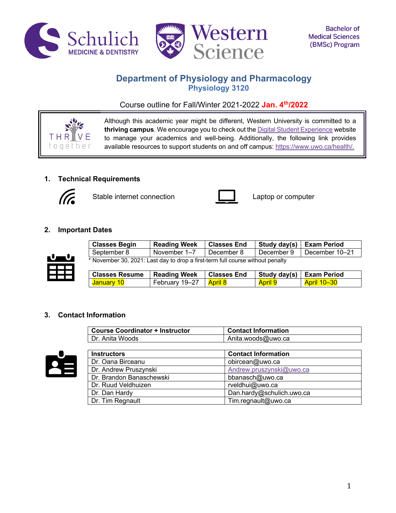



# **Department of Physiology and Pharmacology Physiology 3120**

Course outline for Fall/Winter 2021-2022 **Jan. 4th/2022**



Although this academic year might be different, Western University is committed to a **thriving campus**. We encourage you to check out the Digital Student Experience website to manage your academics and well-being. Additionally, the following link provides available resources to support students on and off campus: https://www.uwo.ca/health/.

# **1. Technical Requirements**



Stable internet connection **Laptop** computer



# **2. Important Dates**



| <b>Classes Begin</b>                                                           | <b>Reading Week</b> | <sup>I</sup> Classes End | Study day(s)   Exam Period |                             |
|--------------------------------------------------------------------------------|---------------------|--------------------------|----------------------------|-----------------------------|
| September 8                                                                    | November 1-7        | December 8               |                            | December 9   December 10-21 |
| * November 30, 2021: Last day to drop a first-term full course without penalty |                     |                          |                            |                             |

| <b>Classes Resume</b>   Reading Week |                          | l Classes End |                | Study day(s) Exam Period |
|--------------------------------------|--------------------------|---------------|----------------|--------------------------|
| <mark>January 10</mark>              | February 19–27   April 8 |               | <b>April 9</b> | <b>April 10-30</b>       |

## **3. Contact Information**

| <b>Course Coordinator + Instructor</b> | <b>Contact Information</b> |
|----------------------------------------|----------------------------|
| Dr. Anita Woods                        | Anita.woods@uwo.ca         |



| <b>Instructors</b>       | <b>Contact Information</b> |
|--------------------------|----------------------------|
| Dr. Oana Birceanu        | obircean@uwo.ca            |
| Dr. Andrew Pruszynski    | Andrew.pruszynski@uwo.ca   |
| Dr. Brandon Banaschewski | bbanasch@uwo.ca            |
| Dr. Ruud Veldhuizen      | rveldhui@uwo.ca            |
| Dr. Dan Hardy            | Dan.hardy@schulich.uwo.ca  |
| Dr. Tim Regnault         | Tim.regnault@uwo.ca        |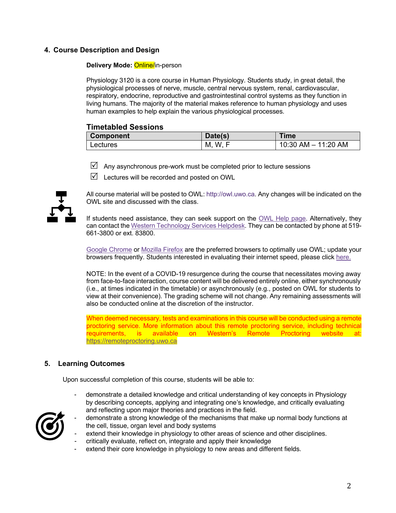# **4. Course Description and Design**

### **Delivery Mode: Online/in-person**

Physiology 3120 is a core course in Human Physiology. Students study, in great detail, the physiological processes of nerve, muscle, central nervous system, renal, cardiovascular, respiratory, endocrine, reproductive and gastrointestinal control systems as they function in living humans. The majority of the material makes reference to human physiology and uses human examples to help explain the various physiological processes.

## **Timetabled Sessions**

| <b>Component</b> | Date(s)  | Time                |
|------------------|----------|---------------------|
| Lectures         | W.<br>M, | 10:30 AM - 11:20 AM |

- $\boxtimes$  Any asynchronous pre-work must be completed prior to lecture sessions
- $\triangledown$  Lectures will be recorded and posted on OWL



All course material will be posted to OWL: http://owl.uwo.ca. Any changes will be indicated on the OWL site and discussed with the class.

If students need assistance, they can seek support on the OWL Help page. Alternatively, they can contact the Western Technology Services Helpdesk. They can be contacted by phone at 519- 661-3800 or ext. 83800.

Google Chrome or Mozilla Firefox are the preferred browsers to optimally use OWL; update your browsers frequently. Students interested in evaluating their internet speed, please click here.

NOTE: In the event of a COVID-19 resurgence during the course that necessitates moving away from face-to-face interaction, course content will be delivered entirely online, either synchronously (i.e., at times indicated in the timetable) or asynchronously (e.g., posted on OWL for students to view at their convenience). The grading scheme will not change. Any remaining assessments will also be conducted online at the discretion of the instructor.

When deemed necessary, tests and examinations in this course will be conducted using a remote proctoring service. More information about this remote proctoring service, including technical requirements, is available on Western's Remote Proctoring website at: https://remoteproctoring.uwo.ca

## **5. Learning Outcomes**

Upon successful completion of this course, students will be able to:

demonstrate a detailed knowledge and critical understanding of key concepts in Physiology by describing concepts, applying and integrating one's knowledge, and critically evaluating and reflecting upon major theories and practices in the field.

- demonstrate a strong knowledge of the mechanisms that make up normal body functions at the cell, tissue, organ level and body systems
- extend their knowledge in physiology to other areas of science and other disciplines.
- critically evaluate, reflect on, integrate and apply their knowledge
- extend their core knowledge in physiology to new areas and different fields.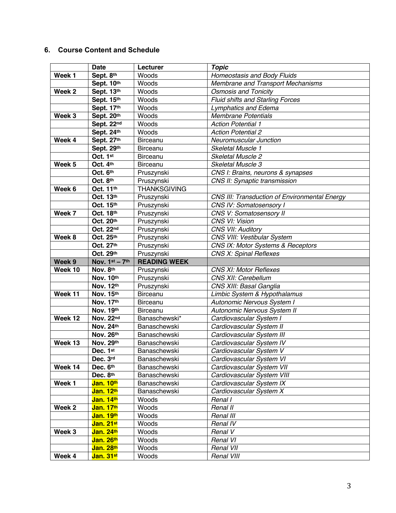# **6. Course Content and Schedule**

|                             | <b>Date</b>            | Lecturer            | <b>Topic</b>                                         |
|-----------------------------|------------------------|---------------------|------------------------------------------------------|
| Week 1                      | Sept. 8th              | Woods               | Homeostasis and Body Fluids                          |
|                             | Sept. 10th             | Woods               | Membrane and Transport Mechanisms                    |
| Week <sub>2</sub>           | Sept. 13th             | Woods               | <b>Osmosis and Tonicity</b>                          |
|                             | Sept. 15th             | Woods               | <b>Fluid shifts and Starling Forces</b>              |
|                             | Sept. 17th             | Woods               | <b>Lymphatics and Edema</b>                          |
| Week 3                      | Sept. 20th             | Woods               | <b>Membrane Potentials</b>                           |
|                             | Sept. 22nd             | Woods               | <b>Action Potential 1</b>                            |
|                             | Sept. 24th             | Woods               | <b>Action Potential 2</b>                            |
| Week 4                      | Sept. 27th             | Birceanu            | <b>Neuromuscular Junction</b>                        |
|                             | Sept. 29th             | Birceanu            | Skeletal Muscle 1                                    |
|                             | Oct. 1st               | Birceanu            | Skeletal Muscle 2                                    |
| Week 5                      | Oct. 4th               | Birceanu            | Skeletal Muscle 3                                    |
|                             | Oct. 6th               | Pruszynski          | CNS I: Brains, neurons & synapses                    |
|                             | Oct. 8th               | Pruszynski          | CNS II: Synaptic transmission                        |
| Week 6                      | Oct. 11th              | <b>THANKSGIVING</b> |                                                      |
|                             | Oct. 13th              | Pruszynski          | <b>CNS III: Transduction of Environmental Energy</b> |
|                             | Oct. 15th              | Pruszynski          | <b>CNS IV: Somatosensory I</b>                       |
| Week 7                      | Oct. 18th              | Pruszynski          | <b>CNS V: Somatosensory II</b>                       |
|                             | Oct. 20th              | Pruszynski          | CNS VI: Vision                                       |
|                             | Oct. 22nd              | Pruszynski          | CNS VII: Auditory                                    |
| Week 8                      | Oct. 25th              | Pruszynski          | CNS VIII: Vestibular System                          |
|                             | Oct. 27th              | Pruszynski          | CNS IX: Motor Systems & Receptors                    |
|                             | Oct. 29th              | Pruszynski          | <b>CNS X: Spinal Reflexes</b>                        |
| Week 9                      | Nov. 1st - 7th         | <b>READING WEEK</b> |                                                      |
| Week 10                     | Nov. 8th               | Pruszynski          | <b>CNS XI: Motor Reflexes</b>                        |
|                             | Nov. 10th              | Pruszynski          | CNS XII: Cerebellum                                  |
|                             | Nov. 12th              | Pruszynski          | CNS XIII: Basal Ganglia                              |
| $\overline{\text{Week}}$ 11 | Nov. 15th              | Birceanu            | Limbic System & Hypothalamus                         |
|                             | Nov. 17th              | Birceanu            | Autonomic Nervous System I                           |
|                             | Nov. 19th              | Birceanu            | Autonomic Nervous System II                          |
| Week 12                     | Nov. 22nd              | Banaschewski*       | Cardiovascular System I                              |
|                             | Nov. 24th              | Banaschewski        | Cardiovascular System II                             |
|                             | Nov. 26th              | Banaschewski        | Cardiovascular System III                            |
| Week 13                     | Nov. 29th              | Banaschewski        | Cardiovascular System IV                             |
|                             | Dec. 1st               | Banaschewski        | Cardiovascular System V                              |
|                             | Dec. 3rd               | Banaschewski        | Cardiovascular System VI                             |
| Week 14                     | Dec. 6th               | Banaschewski        | Cardiovascular System VII                            |
|                             | Dec. 8th               | Banaschewski        | Cardiovascular System VIII                           |
| Week 1                      | Jan. 10th              | Banaschewski        | Cardiovascular System IX                             |
|                             | Jan. 12th              | Banaschewski        | Cardiovascular System X                              |
|                             | Jan. 14th              | Woods               | Renal I                                              |
| Week 2                      | Jan. 17th              | Woods               | Renal II                                             |
|                             |                        | Woods               | Renal III                                            |
|                             | Jan. 19th              |                     |                                                      |
|                             | Jan. 21st              | Woods               | Renal IV                                             |
| Week 3                      | Jan. 24th              | Woods               | Renal V                                              |
|                             | Jan. 26th              | Woods               | Renal VI                                             |
| Week 4                      | Jan. 28th<br>Jan. 31st | Woods<br>Woods      | Renal VII<br>Renal VIII                              |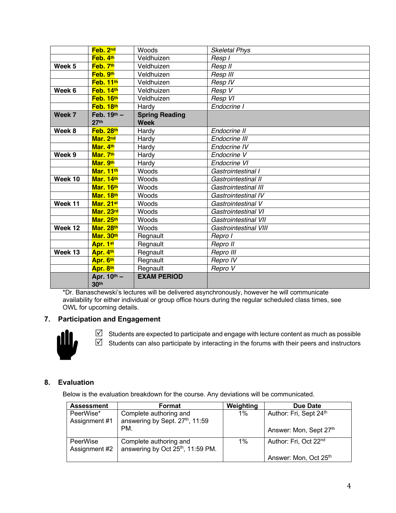| Week 13 | Apr. 4th<br>Apr. 6th                 | Regnault<br>Regnault                 | Repro III<br>Repro IV        |
|---------|--------------------------------------|--------------------------------------|------------------------------|
|         | Apr. 1st                             | Regnault                             | Repro II                     |
|         | Mar. 30th                            | Regnault                             | Repro I                      |
| Week 12 | Mar. 28th                            | Woods                                | <b>Gastrointestinal VIII</b> |
|         | Mar. 25th                            | Woods                                | Gastrointestinal VII         |
|         | Mar. 23rd                            | Woods                                | Gastrointestinal VI          |
| Week 11 | Mar. 21st                            | Woods                                | Gastrointestinal V           |
|         | Mar. 18th                            | Woods                                | Gastrointestinal IV          |
|         | Mar. 16th                            | Woods                                | Gastrointestinal III         |
| Week 10 | Mar. 14th                            | Woods                                | Gastrointestinal II          |
|         | Mar. 11th                            | Woods                                | Gastrointestinal I           |
|         | Mar. 9th                             | Hardy                                | Endocrine VI                 |
| Week 9  | Mar. 7th                             | Hardy                                | Endocrine V                  |
|         | Mar. 4th                             | Hardy                                | Endocrine IV                 |
|         | Mar. 2nd                             | Hardy                                | Endocrine III                |
| Week 8  | Feb. 28th                            | Hardy                                | Endocrine II                 |
| Week 7  | Feb. $19^{th} -$<br>27 <sup>th</sup> | <b>Spring Reading</b><br><b>Week</b> |                              |
|         | Feb. 18th                            | Hardy                                | Endocrine I                  |
|         | Feb. 16th                            | Veldhuizen                           | Resp VI                      |
| Week 6  | Feb. 14th                            | Veldhuizen                           | Resp V                       |
|         | Feb. 11th                            | Veldhuizen                           | Resp IV                      |
|         | Feb. 9th                             | Veldhuizen                           | Resp III                     |
| Week 5  | Feb. 7th                             | Veldhuizen                           | Resp II                      |
|         | Feb. 4th                             | Veldhuizen                           | Resp I                       |
|         | Feb. 2nd                             | Woods                                | <b>Skeletal Phys</b>         |

\*Dr. Banaschewski's lectures will be delivered asynchronously, however he will communicate availability for either individual or group office hours during the regular scheduled class times, see OWL for upcoming details.

# **7. Participation and Engagement**



 $\boxtimes$  Students are expected to participate and engage with lecture content as much as possible  $\boxtimes$  Students can also participate by interacting in the forums with their peers and instructors

# **8. Evaluation**

Below is the evaluation breakdown for the course. Any deviations will be communicated.

| <b>Assessment</b>          | Format                                                                  | Weighting | Due Date                                         |
|----------------------------|-------------------------------------------------------------------------|-----------|--------------------------------------------------|
| PeerWise*<br>Assignment #1 | Complete authoring and<br>answering by Sept. 27th, 11:59<br>PM.         | $1\%$     | Author: Fri, Sept 24th<br>Answer: Mon, Sept 27th |
|                            |                                                                         |           |                                                  |
| PeerWise<br>Assignment #2  | Complete authoring and<br>answering by Oct 25 <sup>th</sup> , 11:59 PM. | $1\%$     | Author: Fri, Oct 22 <sup>nd</sup>                |
|                            |                                                                         |           | Answer: Mon, Oct 25th                            |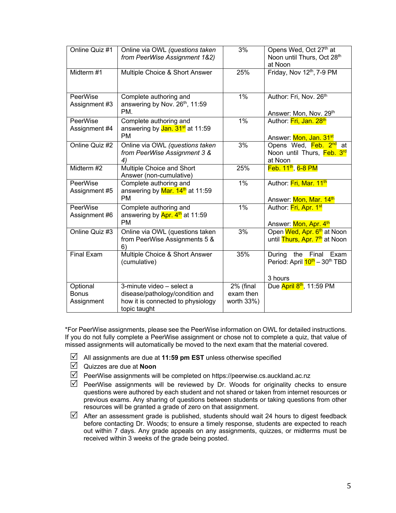| Online Quiz #1                         | Online via OWL (questions taken<br>from PeerWise Assignment 1&2)                                                  | 3%                                   | Opens Wed, Oct 27 <sup>th</sup> at<br>Noon until Thurs, Oct 28th<br>at Noon         |
|----------------------------------------|-------------------------------------------------------------------------------------------------------------------|--------------------------------------|-------------------------------------------------------------------------------------|
| Midterm #1                             | Multiple Choice & Short Answer                                                                                    | 25%                                  | Friday, Nov 12th, 7-9 PM                                                            |
| <b>PeerWise</b><br>Assignment #3       | Complete authoring and<br>answering by Nov. 26th, 11:59<br>PM.                                                    | $1\%$                                | Author: Fri, Nov. 26th<br>Answer: Mon, Nov. 29th                                    |
| <b>PeerWise</b><br>Assignment #4       | Complete authoring and<br>answering by Jan. 31 <sup>st</sup> at 11:59<br><b>PM</b>                                | $1\%$                                | Author: Fri, Jan. 28th<br>Answer: Mon, Jan. 31 <sup>st</sup>                        |
| Online Quiz #2                         | Online via OWL (questions taken<br>from PeerWise Assignment 3 &<br>4)                                             | 3%                                   | Opens Wed, Feb. 2 <sup>nd</sup> at<br>Noon until Thurs, Feb. 3rd<br>at Noon         |
| Midterm #2                             | Multiple Choice and Short<br>Answer (non-cumulative)                                                              | 25%                                  | $Feb. 11th$ , 6-8 PM                                                                |
| PeerWise<br>Assignment #5              | Complete authoring and<br>answering by Mar. 14 <sup>th</sup> at 11:59<br><b>PM</b>                                | $1\%$                                | Author: Fri, Mar. 11th<br>Answer: Mon, Mar. 14 <sup>th</sup>                        |
| <b>PeerWise</b><br>Assignment #6       | Complete authoring and<br>answering by $Apr. 4th$ at 11:59<br><b>PM</b>                                           | 1%                                   | Author: Fri, Apr. 1st<br>Answer: Mon, Apr. 4th                                      |
| Online Quiz #3                         | Online via OWL (questions taken<br>from PeerWise Assignments 5 &<br>6)                                            | 3%                                   | Open Wed, Apr. 6 <sup>th</sup> at Noon<br>until Thurs, Apr. 7 <sup>th</sup> at Noon |
| <b>Final Exam</b>                      | Multiple Choice & Short Answer<br>(cumulative)                                                                    | 35%                                  | During<br>the Final<br>Exam<br>Period: April $10^{\text{th}} - 30^{\text{th}}$ TBD  |
|                                        |                                                                                                                   |                                      | 3 hours                                                                             |
| Optional<br><b>Bonus</b><br>Assignment | 3-minute video - select a<br>disease/pathology/condition and<br>how it is connected to physiology<br>topic taught | 2% (final<br>exam then<br>worth 33%) | Due April 8th, 11:59 PM                                                             |
|                                        |                                                                                                                   |                                      |                                                                                     |

\*For PeerWise assignments, please see the PeerWise information on OWL for detailed instructions. If you do not fully complete a PeerWise assignment or chose not to complete a quiz, that value of missed assignments will automatically be moved to the next exam that the material covered.

- $\triangledown$  All assignments are due at **11:59 pm EST** unless otherwise specified
- $\overline{M}$  Quizzes are due at **Noon**
- $\boxdot$  PeerWise assignments will be completed on https://peerwise.cs.auckland.ac.nz
- $\triangledown$  PeerWise assignments will be reviewed by Dr. Woods for originality checks to ensure questions were authored by each student and not shared or taken from internet resources or previous exams. Any sharing of questions between students or taking questions from other resources will be granted a grade of zero on that assignment.
- $\boxtimes$  After an assessment grade is published, students should wait 24 hours to digest feedback before contacting Dr. Woods; to ensure a timely response, students are expected to reach out within 7 days. Any grade appeals on any assignments, quizzes, or midterms must be received within 3 weeks of the grade being posted.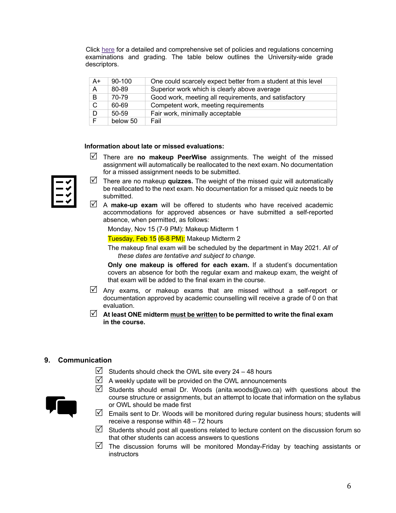Click here for a detailed and comprehensive set of policies and regulations concerning examinations and grading. The table below outlines the University-wide grade descriptors.

| A+ | 90-100    | One could scarcely expect better from a student at this level |
|----|-----------|---------------------------------------------------------------|
| A  | 80-89     | Superior work which is clearly above average                  |
| B  | 70-79     | Good work, meeting all requirements, and satisfactory         |
| C  | 60-69     | Competent work, meeting requirements                          |
| D  | $50 - 59$ | Fair work, minimally acceptable                               |
| F. | below 50  | Fail                                                          |

### **Information about late or missed evaluations:**

R There are **no makeup PeerWise** assignments. The weight of the missed assignment will automatically be reallocated to the next exam. No documentation for a missed assignment needs to be submitted.

- $\mathbb N$  There are no makeup **quizzes.** The weight of the missed quiz will automatically be reallocated to the next exam. No documentation for a missed quiz needs to be submitted.
- $\mathbb Z$  A **make-up exam** will be offered to students who have received academic accommodations for approved absences or have submitted a self-reported absence, when permitted, as follows:

Monday, Nov 15 (7-9 PM): Makeup Midterm 1

Tuesday, Feb 15 (6-8 PM): Makeup Midterm 2

The makeup final exam will be scheduled by the department in May 2021. *All of these dates are tentative and subject to change.*

**Only one makeup is offered for each exam.** If a student's documentation covers an absence for both the regular exam and makeup exam, the weight of that exam will be added to the final exam in the course.

- $\boxtimes$  Any exams, or makeup exams that are missed without a self-report or documentation approved by academic counselling will receive a grade of 0 on that evaluation.
- $\Box$  At least ONE midterm must be written to be permitted to write the final exam **in the course.**

### **9. Communication**

- $\triangleright$  Students should check the OWL site every 24 48 hours
- $\boxtimes$  A weekly update will be provided on the OWL announcements



- $\boxtimes$  Students should email Dr. Woods (anita.woods@uwo.ca) with questions about the course structure or assignments, but an attempt to locate that information on the syllabus or OWL should be made first
- $\mathbb N$  Emails sent to Dr. Woods will be monitored during regular business hours; students will receive a response within 48 – 72 hours
- Students should post all questions related to lecture content on the discussion forum so that other students can access answers to questions
- $\triangledown$  The discussion forums will be monitored Monday-Friday by teaching assistants or instructors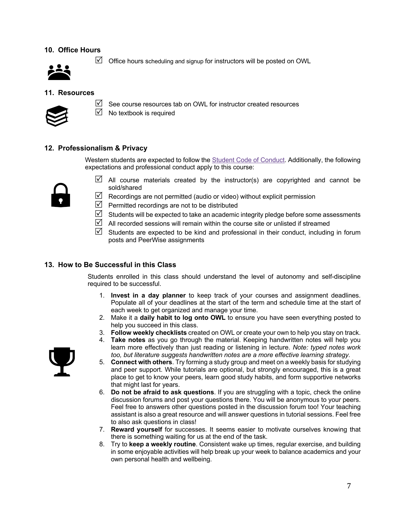## **10. Office Hours**



 $\boxtimes$  Office hours scheduling and signup for instructors will be posted on OWL

### **11. Resources**



 $\boxtimes$  See course resources tab on OWL for instructor created resources

 $\triangledown$  No textbook is required

### **12. Professionalism & Privacy**

Western students are expected to follow the **Student Code of Conduct**. Additionally, the following expectations and professional conduct apply to this course:



- $\boxtimes$  All course materials created by the instructor(s) are copyrighted and cannot be sold/shared
- $\boxtimes$  Recordings are not permitted (audio or video) without explicit permission
- $\triangledown$  Permitted recordings are not to be distributed
- $\boxtimes$  Students will be expected to take an academic integrity pledge before some assessments
- $\boxtimes$  All recorded sessions will remain within the course site or unlisted if streamed
- $\triangledown$  Students are expected to be kind and professional in their conduct, including in forum posts and PeerWise assignments

### **13. How to Be Successful in this Class**

Students enrolled in this class should understand the level of autonomy and self-discipline required to be successful.

- 1. **Invest in a day planner** to keep track of your courses and assignment deadlines. Populate all of your deadlines at the start of the term and schedule time at the start of each week to get organized and manage your time.
- 2. Make it a **daily habit to log onto OWL** to ensure you have seen everything posted to help you succeed in this class.
- 3. **Follow weekly checklists** created on OWL or create your own to help you stay on track.
- 4. **Take notes** as you go through the material. Keeping handwritten notes will help you learn more effectively than just reading or listening in lecture. *Note: typed notes work too, but literature suggests handwritten notes are a more effective learning strategy.*
- 5. **Connect with others**. Try forming a study group and meet on a weekly basis for studying and peer support. While tutorials are optional, but strongly encouraged, this is a great place to get to know your peers, learn good study habits, and form supportive networks that might last for years.
- 6. **Do not be afraid to ask questions**. If you are struggling with a topic, check the online discussion forums and post your questions there. You will be anonymous to your peers. Feel free to answers other questions posted in the discussion forum too! Your teaching assistant is also a great resource and will answer questions in tutorial sessions. Feel free to also ask questions in class!
- 7. **Reward yourself** for successes. It seems easier to motivate ourselves knowing that there is something waiting for us at the end of the task.
- 8. Try to **keep a weekly routine**. Consistent wake up times, regular exercise, and building in some enjoyable activities will help break up your week to balance academics and your own personal health and wellbeing.

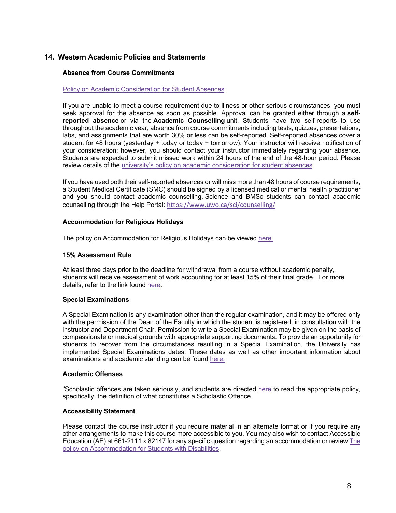### **14. Western Academic Policies and Statements**

### **Absence from Course Commitments**

### Policy on Academic Consideration for Student Absences

If you are unable to meet a course requirement due to illness or other serious circumstances, you must seek approval for the absence as soon as possible. Approval can be granted either through a **selfreported absence** or via the **Academic Counselling** unit. Students have two self-reports to use throughout the academic year; absence from course commitments including tests, quizzes, presentations, labs, and assignments that are worth 30% or less can be self-reported. Self-reported absences cover a student for 48 hours (yesterday + today or today + tomorrow). Your instructor will receive notification of your consideration; however, you should contact your instructor immediately regarding your absence. Students are expected to submit missed work within 24 hours of the end of the 48-hour period. Please review details of the university's policy on academic consideration for student absences.

If you have used both their self-reported absences or will miss more than 48 hours of course requirements, a Student Medical Certificate (SMC) should be signed by a licensed medical or mental health practitioner and you should contact academic counselling. Science and BMSc students can contact academic counselling through the Help Portal: https://www.uwo.ca/sci/counselling/

#### **Accommodation for Religious Holidays**

The policy on Accommodation for Religious Holidays can be viewed here.

### **15% Assessment Rule**

At least three days prior to the deadline for withdrawal from a course without academic penalty, students will receive assessment of work accounting for at least 15% of their final grade. For more details, refer to the link found here.

#### **Special Examinations**

A Special Examination is any examination other than the regular examination, and it may be offered only with the permission of the Dean of the Faculty in which the student is registered, in consultation with the instructor and Department Chair. Permission to write a Special Examination may be given on the basis of compassionate or medical grounds with appropriate supporting documents. To provide an opportunity for students to recover from the circumstances resulting in a Special Examination, the University has implemented Special Examinations dates. These dates as well as other important information about examinations and academic standing can be found here.

#### **Academic Offenses**

"Scholastic offences are taken seriously, and students are directed here to read the appropriate policy, specifically, the definition of what constitutes a Scholastic Offence.

#### **Accessibility Statement**

Please contact the course instructor if you require material in an alternate format or if you require any other arrangements to make this course more accessible to you. You may also wish to contact Accessible Education (AE) at 661-2111 x 82147 for any specific question regarding an accommodation or review The policy on Accommodation for Students with Disabilities.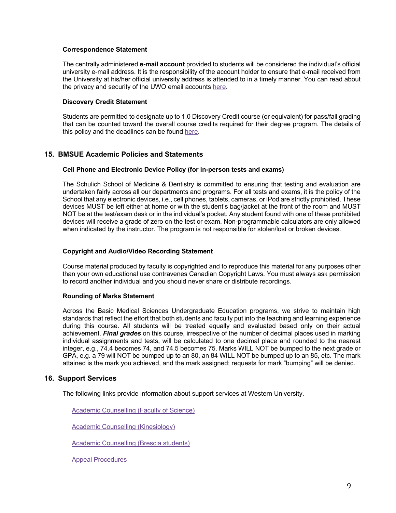### **Correspondence Statement**

The centrally administered **e-mail account** provided to students will be considered the individual's official university e-mail address. It is the responsibility of the account holder to ensure that e-mail received from the University at his/her official university address is attended to in a timely manner. You can read about the privacy and security of the UWO email accounts here.

### **Discovery Credit Statement**

Students are permitted to designate up to 1.0 Discovery Credit course (or equivalent) for pass/fail grading that can be counted toward the overall course credits required for their degree program. The details of this policy and the deadlines can be found here.

### **15. BMSUE Academic Policies and Statements**

#### **Cell Phone and Electronic Device Policy (for in-person tests and exams)**

The Schulich School of Medicine & Dentistry is committed to ensuring that testing and evaluation are undertaken fairly across all our departments and programs. For all tests and exams, it is the policy of the School that any electronic devices, i.e., cell phones, tablets, cameras, or iPod are strictly prohibited. These devices MUST be left either at home or with the student's bag/jacket at the front of the room and MUST NOT be at the test/exam desk or in the individual's pocket. Any student found with one of these prohibited devices will receive a grade of zero on the test or exam. Non-programmable calculators are only allowed when indicated by the instructor. The program is not responsible for stolen/lost or broken devices.

### **Copyright and Audio/Video Recording Statement**

Course material produced by faculty is copyrighted and to reproduce this material for any purposes other than your own educational use contravenes Canadian Copyright Laws. You must always ask permission to record another individual and you should never share or distribute recordings.

#### **Rounding of Marks Statement**

Across the Basic Medical Sciences Undergraduate Education programs, we strive to maintain high standards that reflect the effort that both students and faculty put into the teaching and learning experience during this course. All students will be treated equally and evaluated based only on their actual achievement. *Final grades* on this course, irrespective of the number of decimal places used in marking individual assignments and tests, will be calculated to one decimal place and rounded to the nearest integer, e.g., 74.4 becomes 74, and 74.5 becomes 75. Marks WILL NOT be bumped to the next grade or GPA, e.g. a 79 will NOT be bumped up to an 80, an 84 WILL NOT be bumped up to an 85, etc. The mark attained is the mark you achieved, and the mark assigned; requests for mark "bumping" will be denied.

### **16. Support Services**

The following links provide information about support services at Western University.

Academic Counselling (Faculty of Science)

Academic Counselling (Kinesiology)

Academic Counselling (Brescia students)

Appeal Procedures